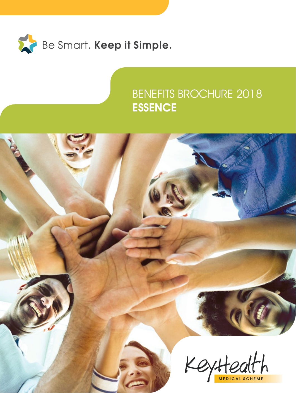

### BENEFITS BROCHURE 2018 **ESSENCE**

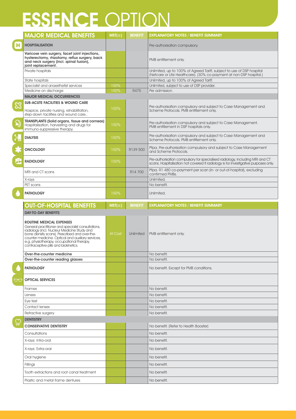## ESSENCE OPTION

|              | <b>MAJOR MEDICAL BENEFITS</b>                                                                                                                                                                                                                                                                                                   | $MST(\leq)$ | <b>BENEFIT</b> | <b>EXPLANATORY NOTES / BENEFIT SUMMARY</b>                                                                                                                          |
|--------------|---------------------------------------------------------------------------------------------------------------------------------------------------------------------------------------------------------------------------------------------------------------------------------------------------------------------------------|-------------|----------------|---------------------------------------------------------------------------------------------------------------------------------------------------------------------|
| H            | <b>HOSPITALISATION</b>                                                                                                                                                                                                                                                                                                          |             |                | Pre-authorisation compulsory.                                                                                                                                       |
|              | Varicose vein surgery, facet joint injections,<br>hysterectomy, rhizotomy, reflux surgery, back<br>and neck surgery (incl. spinal fusion),<br>joint replacement.                                                                                                                                                                |             |                | PMB entitlement only.                                                                                                                                               |
|              | Private hospitals                                                                                                                                                                                                                                                                                                               |             |                | Unlimited, up to 100% of Agreed Tariff, subject to use of DSP hospital<br>(Netcare or Life Healthcare). (30% co-payment at non-DSP hospital.)                       |
|              | State hospitals                                                                                                                                                                                                                                                                                                                 |             |                | Unlimited, up to 100% of Agreed Tariff.                                                                                                                             |
|              | Specialist and anaesthetist services                                                                                                                                                                                                                                                                                            | 100%        |                | Unlimited, subject to use of DSP provider.                                                                                                                          |
|              | Medicine on discharge                                                                                                                                                                                                                                                                                                           | 100%        | R475           | Per admission.                                                                                                                                                      |
|              | <b>MAJOR MEDICAL OCCURRENCES</b>                                                                                                                                                                                                                                                                                                |             |                |                                                                                                                                                                     |
| $\mathbb{S}$ | <b>SUB-ACUTE FACILITIES &amp; WOUND CARE</b><br>Hospice, private nursing, rehabilitation,<br>step-down facilities and wound care                                                                                                                                                                                                | 100%        |                | Pre-authorisation compulsory and subject to Case Management and<br>Scheme Protocols. PMB entitlement only.                                                          |
| $\mathbb{Q}$ | TRANSPLANTS (Solid organs, tissue and corneas)<br>Hospitalisation, harvesting and drugs for<br>immuno-suppressive therapy.                                                                                                                                                                                                      | 100%        |                | Pre-authorisation compulsory and subject to Case Management.<br>PMB entitlement in DSP hospitals only.                                                              |
|              | <b>DIALYSIS</b>                                                                                                                                                                                                                                                                                                                 | 100%        |                | Pre-authorisation compulsory and subject to Case Management and<br>Scheme Protocols. PMB entitlement only.                                                          |
|              | <b>ONCOLOGY</b>                                                                                                                                                                                                                                                                                                                 | 100%        | R139 500       | Pfpa. Pre-authorisation compulsory and subject to Case Management<br>and Scheme Protocols.                                                                          |
| <b>ASP</b>   | <b>RADIOLOGY</b>                                                                                                                                                                                                                                                                                                                | 100%        |                | Pre-authorisation compulsory for specialised radiology, including MRI and CT<br>scans. Hospitalisation not covered if radiology is for investigative purposes only. |
|              | MRI and CT scans                                                                                                                                                                                                                                                                                                                |             | R14 700        | Pfpa. R1 480 co-payment per scan (in- or out-of-hospital), excluding<br>confirmed PMBs.                                                                             |
|              | X-rays                                                                                                                                                                                                                                                                                                                          |             |                | Unlimited.                                                                                                                                                          |
|              | PET scans                                                                                                                                                                                                                                                                                                                       |             |                | No benefit.                                                                                                                                                         |
|              | <b>PATHOLOGY</b>                                                                                                                                                                                                                                                                                                                | 100%        |                | Unlimited.                                                                                                                                                          |
|              | <b>OUT-OF-HOSPITAL BENEFITS</b>                                                                                                                                                                                                                                                                                                 | $MST(\leq)$ | <b>BENEFIT</b> | <b>EXPLANATORY NOTES / BENEFIT SUMMARY</b>                                                                                                                          |
|              | <b>DAY-TO-DAY BENEFITS</b>                                                                                                                                                                                                                                                                                                      |             |                |                                                                                                                                                                     |
|              | <b>ROUTINE MEDICAL EXPENSES</b><br>General practitioner and specialist consultations,<br>radiology (incl. Nucleur Medicine Study and<br>bone density scans). Prescribed and over-the-<br>counter medicine. Optical and auxiliary services,<br>e.g. physiotherapy, occupational therapy,<br>contraceptive pills and biokinetics. | At Cost     | Unlimited      | PMB entitlement only.                                                                                                                                               |
|              | Over-the-counter medicine                                                                                                                                                                                                                                                                                                       |             |                |                                                                                                                                                                     |
|              |                                                                                                                                                                                                                                                                                                                                 |             |                | No benefit.                                                                                                                                                         |
|              | Over-the-counter reading glasses                                                                                                                                                                                                                                                                                                |             |                | No benefit.                                                                                                                                                         |
|              | <b>PATHOLOGY</b>                                                                                                                                                                                                                                                                                                                |             |                | No benefit. Except for PMB conditions.                                                                                                                              |
| $\bigcirc$   | <b>OPTICAL SERVICES</b>                                                                                                                                                                                                                                                                                                         |             |                |                                                                                                                                                                     |
|              | Frames                                                                                                                                                                                                                                                                                                                          |             |                | No benefit.                                                                                                                                                         |
|              | Lenses                                                                                                                                                                                                                                                                                                                          |             |                | No benefit.                                                                                                                                                         |
|              | Eye test                                                                                                                                                                                                                                                                                                                        |             |                | No benefit.                                                                                                                                                         |
|              | Contact lenses                                                                                                                                                                                                                                                                                                                  |             |                | No benefit.                                                                                                                                                         |
|              | Refractive surgery                                                                                                                                                                                                                                                                                                              |             |                | No benefit.                                                                                                                                                         |
|              | <b>DENTISTRY</b>                                                                                                                                                                                                                                                                                                                |             |                |                                                                                                                                                                     |
|              | <b>CONSERVATIVE DENTISTRY</b>                                                                                                                                                                                                                                                                                                   |             |                | No benefit. (Refer to Health Booster)                                                                                                                               |
|              | Consultations                                                                                                                                                                                                                                                                                                                   |             |                | No benefit.                                                                                                                                                         |
|              | X-rays: Intra-oral                                                                                                                                                                                                                                                                                                              |             |                | No benefit.                                                                                                                                                         |
|              | X-rays: Extra-oral                                                                                                                                                                                                                                                                                                              |             |                | No benefit.                                                                                                                                                         |
|              | Oral hygiene                                                                                                                                                                                                                                                                                                                    |             |                | No benefit.                                                                                                                                                         |
|              | Fillings                                                                                                                                                                                                                                                                                                                        |             |                | No benefit.                                                                                                                                                         |
|              | Tooth extractions and root canal treatment                                                                                                                                                                                                                                                                                      |             |                | No benefit.                                                                                                                                                         |
|              | Plastic and metal frame dentures                                                                                                                                                                                                                                                                                                |             |                | No benefit.                                                                                                                                                         |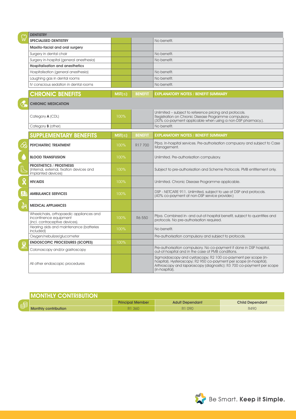| ြု           | <b>DENTISTRY</b>                                                                                    |             |                |                                                                                                                                                                                                                                  |
|--------------|-----------------------------------------------------------------------------------------------------|-------------|----------------|----------------------------------------------------------------------------------------------------------------------------------------------------------------------------------------------------------------------------------|
|              | <b>SPECIALISED DENTISTRY</b>                                                                        |             |                | No benefit.                                                                                                                                                                                                                      |
|              | Maxillo-facial and oral surgery                                                                     |             |                |                                                                                                                                                                                                                                  |
|              | Surgery in dental chair                                                                             |             |                | No benefit.                                                                                                                                                                                                                      |
|              | Surgery in-hospital (general anesthesia)                                                            |             |                | No benefit.                                                                                                                                                                                                                      |
|              | <b>Hospitalisation and anesthetics</b>                                                              |             |                |                                                                                                                                                                                                                                  |
|              | Hospitalisation (general anesthesia)<br>Laughing gas in dental rooms                                |             |                | No benefit.                                                                                                                                                                                                                      |
|              |                                                                                                     |             |                | No benefit.                                                                                                                                                                                                                      |
|              | IV conscious sedation in dental rooms                                                               |             |                | No benefit.                                                                                                                                                                                                                      |
|              | <b>CHRONIC BENEFITS</b>                                                                             | $MST(\leq)$ | <b>BENEFIT</b> | <b>EXPLANATORY NOTES / BENEFIT SUMMARY</b>                                                                                                                                                                                       |
|              | <b>CHRONIC MEDICATION</b>                                                                           |             |                |                                                                                                                                                                                                                                  |
|              | Category <b>A</b> (CDL)                                                                             | 100%        |                | Unlimited – subject to reference pricing and protocols.<br>Registration on Chronic Disease Programme compulsory.<br>(30% co-payment applicable when using a non-DSP pharmacy.).                                                  |
|              | Category <b>B</b> (other)                                                                           |             |                | No benefit.                                                                                                                                                                                                                      |
|              | <b>SUPPLEMENTARY BENEFITS</b>                                                                       | $MST(\leq)$ | <b>BENEFIT</b> | <b>EXPLANATORY NOTES / BENEFIT SUMMARY</b>                                                                                                                                                                                       |
| ≪            | <b>PSYCHIATRIC TREATMENT</b>                                                                        | 100%        | R17 700        | Pfpa. In-hospital services. Pre-authorisation compusory and subject to Case<br>Management.                                                                                                                                       |
|              | <b>BLOOD TRANSFUSION</b>                                                                            | 100%        |                | Unlimited. Pre-authorisation compulsory.                                                                                                                                                                                         |
|              | <b>PROSTHETICS / PROSTHESIS</b><br>(Internal, external, fixation devices and<br>implanted devices)  | 100%        |                | Subject to pre-authorisation and Scheme Protocols. PMB entitlement only.                                                                                                                                                         |
|              | <b>HIV/AIDS</b>                                                                                     | 100%        |                | Unlimited. Chronic Disease Programme applicable.                                                                                                                                                                                 |
| <u>  O i</u> | <b>AMBULANCE SERVICES</b>                                                                           | 100%        |                | DSP - NETCARE 911. Unlimited, subject to use of DSP and protocols.<br>(40% co-payment at non-DSP service provider.)                                                                                                              |
| 늙            | <b>MEDICAL APPLIANCES</b>                                                                           |             |                |                                                                                                                                                                                                                                  |
|              | Wheelchairs, orthopaedic appliances and<br>incontinence equipment<br>(incl. contraceptive devices). | 100%        | R6 550         | Pfpa. Combined in- and out-of-hospital benefit, subject to quantities and<br>protocols. No pre-authorisation required.                                                                                                           |
| <u>କୁ</u>    | Hearing aids and maintenance (batteries<br>included)                                                | 100%        |                | No benefit.                                                                                                                                                                                                                      |
|              | Oxygen/nebulizer/glucometer                                                                         |             |                | Pre-authorisation compulsory and subject to protocols.                                                                                                                                                                           |
|              | <b>ENDOSCOPIC PROCEDURES (SCOPES)</b>                                                               | 100%        |                |                                                                                                                                                                                                                                  |
|              | Colonoscopy and/or gastroscopy                                                                      |             |                | Pre-authorisation compulsory. No co-payment if done in DSP hospital,<br>out-of-hospital and in the case of PMB conditions.                                                                                                       |
|              | All other endoscopic procedures                                                                     |             |                | Sigmoidoscopy and cystoscopy; R2 100 co-payment per scope (in-<br>hospital). Hysteroscopy; R2 950 co-payment per scope (in-hospital).<br>Arthroscopy and laparoscopy (diagnostic): R3 700 co-payment per scope<br>(in-hospital). |

| <b>I MONTHLY CONTRIBUTION</b> |                         |                        |                        |
|-------------------------------|-------------------------|------------------------|------------------------|
|                               | <b>Principal Member</b> | <b>Adult Dependant</b> | <b>Child Dependant</b> |
| <b>Monthly contribution</b>   | R1 360                  | R1 090                 | R490                   |